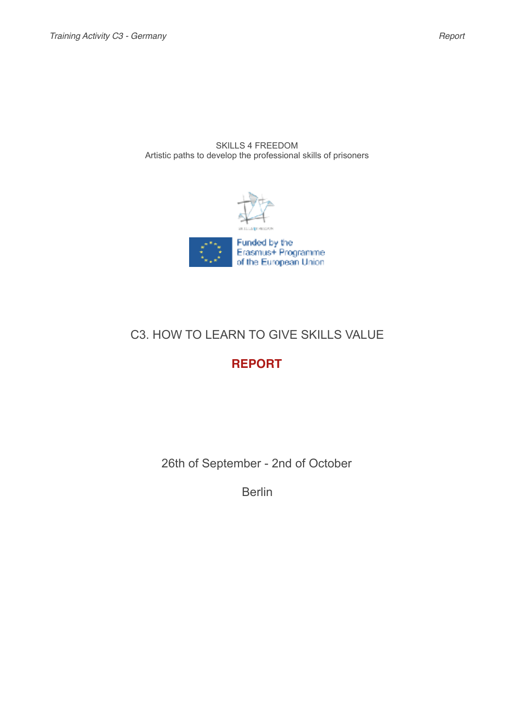SKILLS 4 FREEDOM Artistic paths to develop the professional skills of prisoners





# C3. HOW TO LEARN TO GIVE SKILLS VALUE

# **REPORT**

26th of September - 2nd of October

Berlin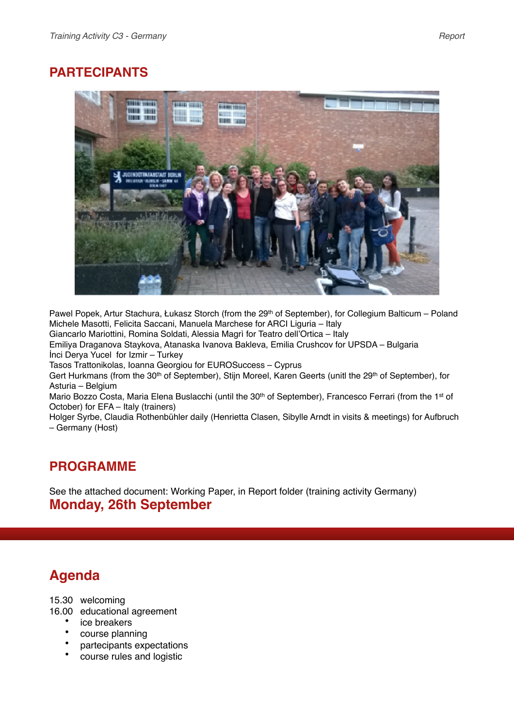# **PARTECIPANTS**



Pawel Popek, Artur Stachura, Łukasz Storch (from the 29<sup>th</sup> of September), for Collegium Balticum – Poland Michele Masotti, Felicita Saccani, Manuela Marchese for ARCI Liguria – Italy

Giancarlo Mariottini, Romina Soldati, Alessia Magrì for Teatro dell'Ortica – Italy

Emiliya Draganova Staykova, Atanaska Ivanova Bakleva, Emilia Crushcov for UPSDA – Bulgaria İnci Derya Yucel for Izmir – Turkey

Tasos Trattonikolas, Ioanna Georgiou for EUROSuccess – Cyprus

Gert Hurkmans (from the 30<sup>th</sup> of September), Stijn Moreel, Karen Geerts (unitl the 29<sup>th</sup> of September), for Asturia – Belgium

Mario Bozzo Costa, Maria Elena Buslacchi (until the 30<sup>th</sup> of September), Francesco Ferrari (from the 1<sup>st</sup> of October) for EFA – Italy (trainers)

Holger Syrbe, Claudia Rothenbühler daily (Henrietta Clasen, Sibylle Arndt in visits & meetings) for Aufbruch – Germany (Host)

## **PROGRAMME**

See the attached document: Working Paper, in Report folder (training activity Germany) **Monday, 26th September**

# **Agenda**

15.30 welcoming

16.00 educational agreement

- ice breakers
- course planning
- partecipants expectations
- course rules and logistic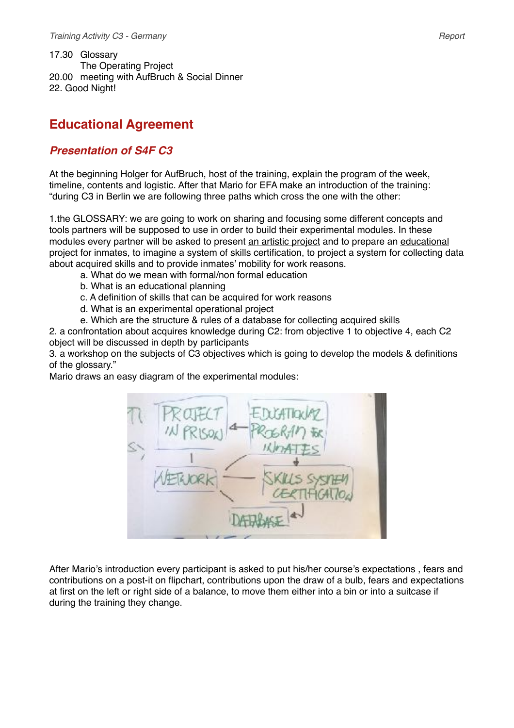17.30 Glossary The Operating Project 20.00 meeting with AufBruch & Social Dinner 22. Good Night!

# **Educational Agreement**

## *Presentation of S4F C3*

At the beginning Holger for AufBruch, host of the training, explain the program of the week, timeline, contents and logistic. After that Mario for EFA make an introduction of the training: "during C3 in Berlin we are following three paths which cross the one with the other:

1.the GLOSSARY: we are going to work on sharing and focusing some different concepts and tools partners will be supposed to use in order to build their experimental modules. In these modules every partner will be asked to present an artistic project and to prepare an educational project for inmates, to imagine a system of skills certification, to project a system for collecting data about acquired skills and to provide inmates' mobility for work reasons.

- a. What do we mean with formal/non formal education
- b. What is an educational planning
- c. A definition of skills that can be acquired for work reasons
- d. What is an experimental operational project
- e. Which are the structure & rules of a database for collecting acquired skills

2. a confrontation about acquires knowledge during C2: from objective 1 to objective 4, each C2 object will be discussed in depth by participants

3. a workshop on the subjects of C3 objectives which is going to develop the models & definitions of the glossary."

Mario draws an easy diagram of the experimental modules:



After Mario's introduction every participant is asked to put his/her course's expectations , fears and contributions on a post-it on flipchart, contributions upon the draw of a bulb, fears and expectations at first on the left or right side of a balance, to move them either into a bin or into a suitcase if during the training they change.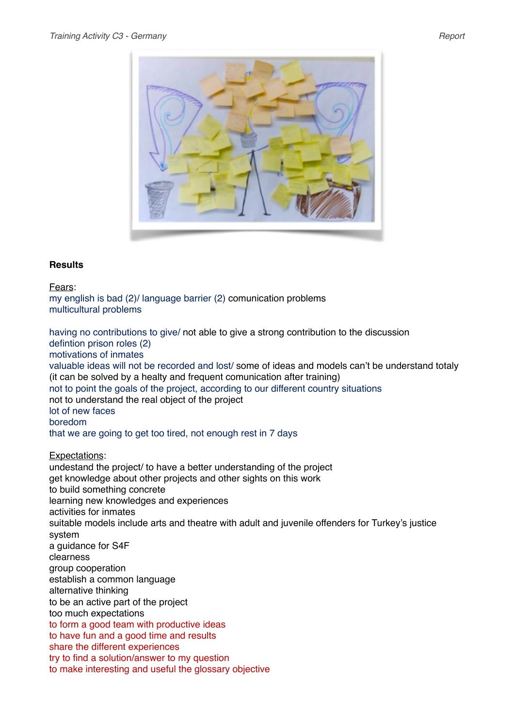

### **Results**

Fears:

my english is bad (2)/ language barrier (2) comunication problems multicultural problems

having no contributions to give/ not able to give a strong contribution to the discussion defintion prison roles (2) motivations of inmates valuable ideas will not be recorded and lost/ some of ideas and models can't be understand totaly (it can be solved by a healty and frequent comunication after training) not to point the goals of the project, according to our different country situations not to understand the real object of the project lot of new faces boredom that we are going to get too tired, not enough rest in 7 days

Expectations:

undestand the project/ to have a better understanding of the project get knowledge about other projects and other sights on this work to build something concrete learning new knowledges and experiences activities for inmates suitable models include arts and theatre with adult and juvenile offenders for Turkey's justice system a guidance for S4F clearness group cooperation establish a common language alternative thinking to be an active part of the project too much expectations to form a good team with productive ideas to have fun and a good time and results share the different experiences try to find a solution/answer to my question to make interesting and useful the glossary objective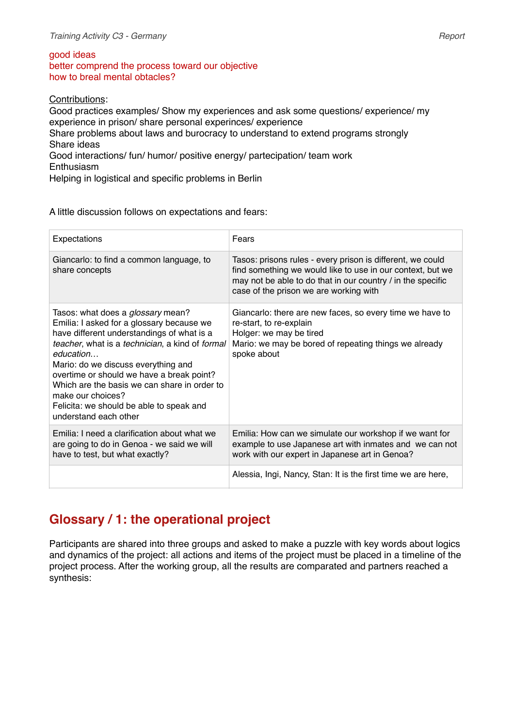#### good ideas

better comprend the process toward our objective how to breal mental obtacles?

Contributions:

Good practices examples/ Show my experiences and ask some questions/ experience/ my experience in prison/ share personal experinces/ experience Share problems about laws and burocracy to understand to extend programs strongly Share ideas Good interactions/ fun/ humor/ positive energy/ partecipation/ team work **Enthusiasm** Helping in logistical and specific problems in Berlin

A little discussion follows on expectations and fears:

| Expectations                                                                                                                                                                                                                                                                                                                                                                                                                      | Fears                                                                                                                                                                                                                             |
|-----------------------------------------------------------------------------------------------------------------------------------------------------------------------------------------------------------------------------------------------------------------------------------------------------------------------------------------------------------------------------------------------------------------------------------|-----------------------------------------------------------------------------------------------------------------------------------------------------------------------------------------------------------------------------------|
| Giancarlo: to find a common language, to<br>share concepts                                                                                                                                                                                                                                                                                                                                                                        | Tasos: prisons rules - every prison is different, we could<br>find something we would like to use in our context, but we<br>may not be able to do that in our country / in the specific<br>case of the prison we are working with |
| Tasos: what does a <i>glossary</i> mean?<br>Emilia: I asked for a glossary because we<br>have different understandings of what is a<br>teacher, what is a technician, a kind of formal<br>education<br>Mario: do we discuss everything and<br>overtime or should we have a break point?<br>Which are the basis we can share in order to<br>make our choices?<br>Felicita: we should be able to speak and<br>understand each other | Giancarlo: there are new faces, so every time we have to<br>re-start, to re-explain<br>Holger: we may be tired<br>Mario: we may be bored of repeating things we already<br>spoke about                                            |
| Emilia: I need a clarification about what we<br>are going to do in Genoa - we said we will<br>have to test, but what exactly?                                                                                                                                                                                                                                                                                                     | Emilia: How can we simulate our workshop if we want for<br>example to use Japanese art with inmates and we can not<br>work with our expert in Japanese art in Genoa?                                                              |
|                                                                                                                                                                                                                                                                                                                                                                                                                                   | Alessia, Ingi, Nancy, Stan: It is the first time we are here,                                                                                                                                                                     |

# **Glossary / 1: the operational project**

Participants are shared into three groups and asked to make a puzzle with key words about logics and dynamics of the project: all actions and items of the project must be placed in a timeline of the project process. After the working group, all the results are comparated and partners reached a synthesis: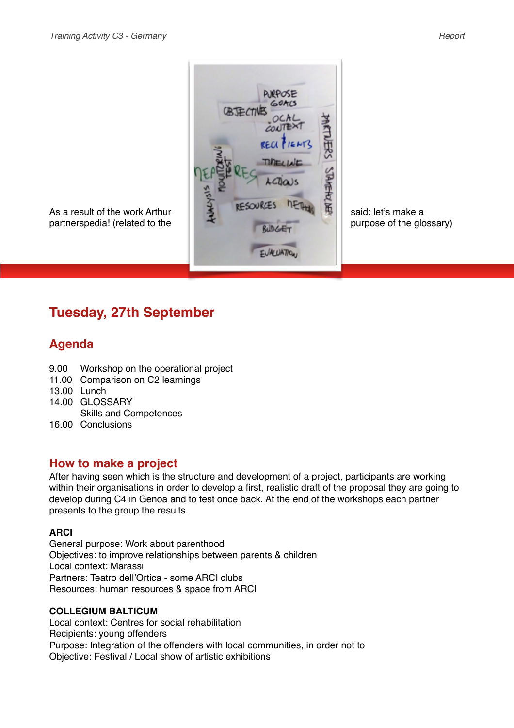

# **Tuesday, 27th September**

## **Agenda**

- 9.00 Workshop on the operational project
- 11.00 Comparison on C2 learnings
- 13.00 Lunch
- 14.00 GLOSSARY
- Skills and Competences
- 16.00 Conclusions

### **How to make a project**

After having seen which is the structure and development of a project, participants are working within their organisations in order to develop a first, realistic draft of the proposal they are going to develop during C4 in Genoa and to test once back. At the end of the workshops each partner presents to the group the results.

#### **ARCI**

General purpose: Work about parenthood Objectives: to improve relationships between parents & children Local context: Marassi Partners: Teatro dell'Ortica - some ARCI clubs Resources: human resources & space from ARCI

### **COLLEGIUM BALTICUM**

Local context: Centres for social rehabilitation Recipients: young offenders Purpose: Integration of the offenders with local communities, in order not to Objective: Festival / Local show of artistic exhibitions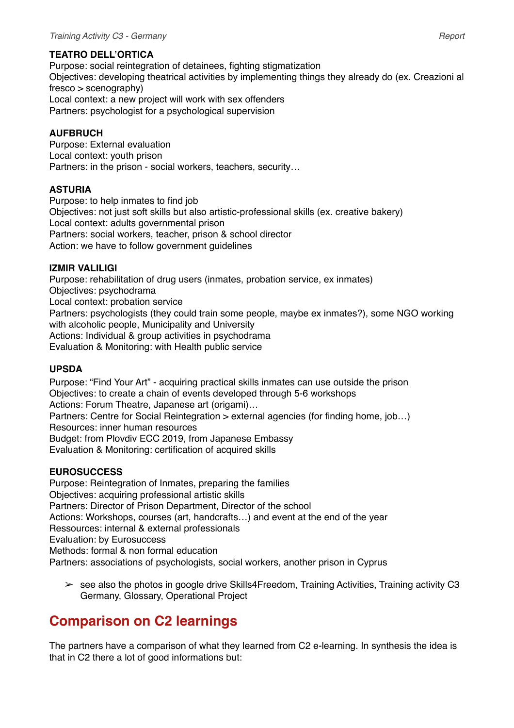### **TEATRO DELL'ORTICA**

Purpose: social reintegration of detainees, fighting stigmatization Objectives: developing theatrical activities by implementing things they already do (ex. Creazioni al fresco > scenography) Local context: a new project will work with sex offenders Partners: psychologist for a psychological supervision

### **AUFBRUCH**

Purpose: External evaluation Local context: youth prison Partners: in the prison - social workers, teachers, security…

### **ASTURIA**

Purpose: to help inmates to find job Objectives: not just soft skills but also artistic-professional skills (ex. creative bakery) Local context: adults governmental prison Partners: social workers, teacher, prison & school director Action: we have to follow government guidelines

#### **IZMIR VALILIGI**

Purpose: rehabilitation of drug users (inmates, probation service, ex inmates) Objectives: psychodrama Local context: probation service Partners: psychologists (they could train some people, maybe ex inmates?), some NGO working with alcoholic people, Municipality and University Actions: Individual & group activities in psychodrama Evaluation & Monitoring: with Health public service

#### **UPSDA**

Purpose: "Find Your Art" - acquiring practical skills inmates can use outside the prison Objectives: to create a chain of events developed through 5-6 workshops Actions: Forum Theatre, Japanese art (origami)… Partners: Centre for Social Reintegration > external agencies (for finding home, job…) Resources: inner human resources Budget: from Plovdiv ECC 2019, from Japanese Embassy Evaluation & Monitoring: certification of acquired skills

#### **EUROSUCCESS**

Purpose: Reintegration of Inmates, preparing the families Objectives: acquiring professional artistic skills Partners: Director of Prison Department, Director of the school Actions: Workshops, courses (art, handcrafts…) and event at the end of the year Ressources: internal & external professionals Evaluation: by Eurosuccess Methods: formal & non formal education Partners: associations of psychologists, social workers, another prison in Cyprus

 $\geq$  see also the photos in google drive Skills4Freedom, Training Activities, Training activity C3 Germany, Glossary, Operational Project

# **Comparison on C2 learnings**

The partners have a comparison of what they learned from C2 e-learning. In synthesis the idea is that in C2 there a lot of good informations but: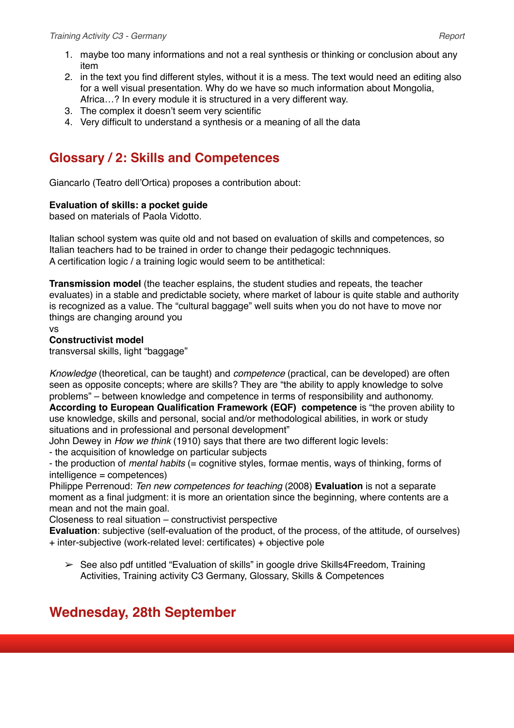- 1. maybe too many informations and not a real synthesis or thinking or conclusion about any item
- 2. in the text you find different styles, without it is a mess. The text would need an editing also for a well visual presentation. Why do we have so much information about Mongolia, Africa…? In every module it is structured in a very different way.
- 3. The complex it doesn't seem very scientific
- 4. Very difficult to understand a synthesis or a meaning of all the data

# **Glossary / 2: Skills and Competences**

Giancarlo (Teatro dell'Ortica) proposes a contribution about:

### **Evaluation of skills: a pocket guide**

based on materials of Paola Vidotto.

Italian school system was quite old and not based on evaluation of skills and competences, so Italian teachers had to be trained in order to change their pedagogic technniques. A certification logic / a training logic would seem to be antithetical:

**Transmission model** (the teacher esplains, the student studies and repeats, the teacher evaluates) in a stable and predictable society, where market of labour is quite stable and authority is recognized as a value. The "cultural baggage" well suits when you do not have to move nor things are changing around you

vs

### **Constructivist model**

transversal skills, light "baggage"

*Knowledge* (theoretical, can be taught) and *competence* (practical, can be developed) are often seen as opposite concepts; where are skills? They are "the ability to apply knowledge to solve problems" – between knowledge and competence in terms of responsibility and authonomy. **According to European Qualification Framework (EQF) competence** is "the proven ability to use knowledge, skills and personal, social and/or methodological abilities, in work or study situations and in professional and personal development"

John Dewey in *How we think* (1910) says that there are two different logic levels:

- the acquisition of knowledge on particular subjects

- the production of *mental habits* (= cognitive styles, formae mentis, ways of thinking, forms of intelligence = competences)

Philippe Perrenoud: *Ten new competences for teaching* (2008) **Evaluation** is not a separate moment as a final judgment: it is more an orientation since the beginning, where contents are a mean and not the main goal.

Closeness to real situation – constructivist perspective

**Evaluation**: subjective (self-evaluation of the product, of the process, of the attitude, of ourselves) + inter-subjective (work-related level: certificates) + objective pole

 $\geq$  See also pdf untitled "Evaluation of skills" in google drive Skills4Freedom, Training Activities, Training activity C3 Germany, Glossary, Skills & Competences

# **Wednesday, 28th September**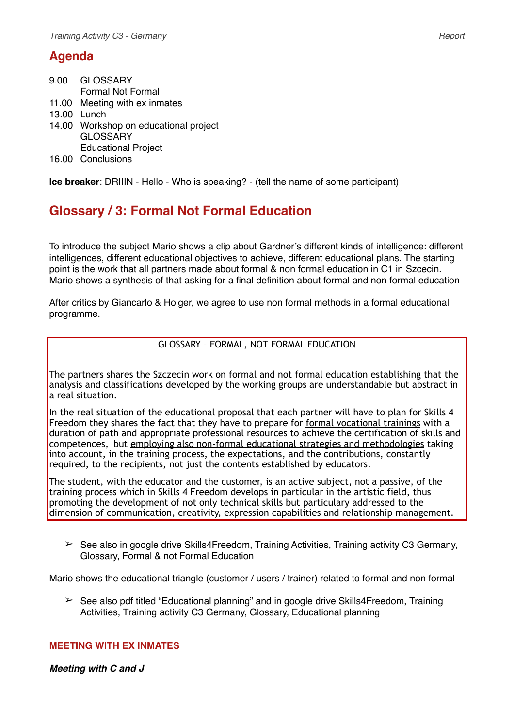## **Agenda**

| 9.00 GLOSSARY                         |
|---------------------------------------|
| <b>Formal Not Formal</b>              |
| 11.00 Meeting with ex inmates         |
| 13.00 Lunch                           |
| 14.00 Workshop on educational project |
| <b>GLOSSARY</b>                       |
| <b>Educational Project</b>            |
| 16.00 Conclusions                     |

**Ice breaker**: DRIIIN - Hello - Who is speaking? - (tell the name of some participant)

# **Glossary / 3: Formal Not Formal Education**

To introduce the subject Mario shows a clip about Gardner's different kinds of intelligence: different intelligences, different educational objectives to achieve, different educational plans. The starting point is the work that all partners made about formal & non formal education in C1 in Szcecin. Mario shows a synthesis of that asking for a final definition about formal and non formal education

After critics by Giancarlo & Holger, we agree to use non formal methods in a formal educational programme.

### GLOSSARY – FORMAL, NOT FORMAL EDUCATION

The partners shares the Szczecin work on formal and not formal education establishing that the analysis and classifications developed by the working groups are understandable but abstract in a real situation.

In the real situation of the educational proposal that each partner will have to plan for Skills 4 Freedom they shares the fact that they have to prepare for formal vocational trainings with a duration of path and appropriate professional resources to achieve the certification of skills and competences, but employing also non-formal educational strategies and methodologies taking into account, in the training process, the expectations, and the contributions, constantly required, to the recipients, not just the contents established by educators.

The student, with the educator and the customer, is an active subject, not a passive, of the training process which in Skills 4 Freedom develops in particular in the artistic field, thus promoting the development of not only technical skills but particulary addressed to the dimension of communication, creativity, expression capabilities and relationship management.

 $\geq$  See also in google drive Skills4Freedom, Training Activities, Training activity C3 Germany, Glossary, Formal & not Formal Education

Mario shows the educational triangle (customer / users / trainer) related to formal and non formal

 $\geq$  See also pdf titled "Educational planning" and in google drive Skills4Freedom. Training Activities, Training activity C3 Germany, Glossary, Educational planning

#### **MEETING WITH EX INMATES**

*Meeting with C and J*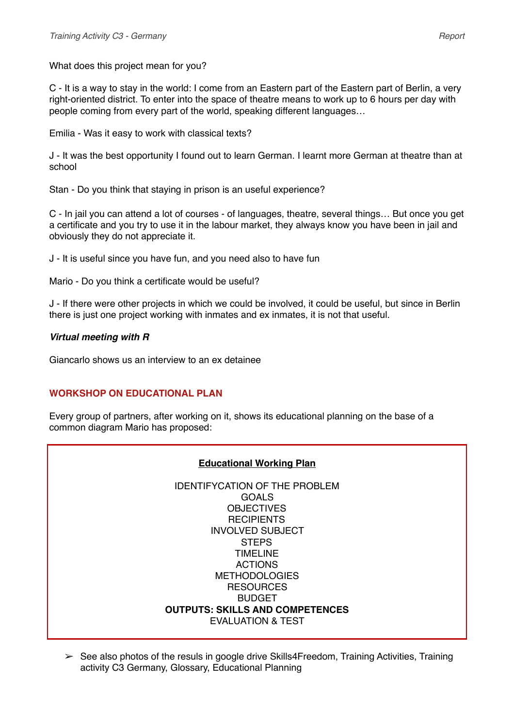What does this project mean for you?

C - It is a way to stay in the world: I come from an Eastern part of the Eastern part of Berlin, a very right-oriented district. To enter into the space of theatre means to work up to 6 hours per day with people coming from every part of the world, speaking different languages…

Emilia - Was it easy to work with classical texts?

J - It was the best opportunity I found out to learn German. I learnt more German at theatre than at school

Stan - Do you think that staying in prison is an useful experience?

C - In jail you can attend a lot of courses - of languages, theatre, several things… But once you get a certificate and you try to use it in the labour market, they always know you have been in jail and obviously they do not appreciate it.

J - It is useful since you have fun, and you need also to have fun

Mario - Do you think a certificate would be useful?

J - If there were other projects in which we could be involved, it could be useful, but since in Berlin there is just one project working with inmates and ex inmates, it is not that useful.

### *Virtual meeting with R*

Giancarlo shows us an interview to an ex detainee

### **WORKSHOP ON EDUCATIONAL PLAN**

Every group of partners, after working on it, shows its educational planning on the base of a common diagram Mario has proposed:

#### **Educational Working Plan**

IDENTIFYCATION OF THE PROBLEM GOALS **OBJECTIVES RECIPIENTS** INVOLVED SUBJECT **STEPS** TIMELINE ACTIONS METHODOLOGIES **RESOURCES** BUDGET **OUTPUTS: SKILLS AND COMPETENCES** EVALUATION & TEST

 $\triangleright$  See also photos of the resuls in google drive Skills4Freedom, Training Activities, Training activity C3 Germany, Glossary, Educational Planning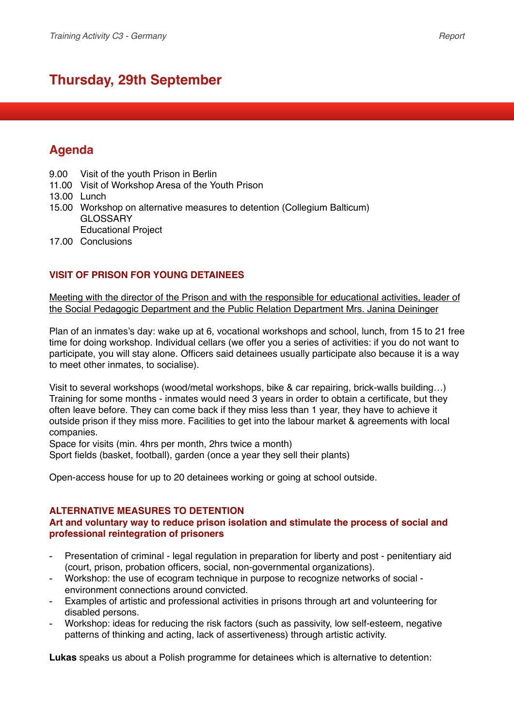# **Thursday, 29th September**

## **Agenda**

9.00 Visit of the youth Prison in Berlin

11.00 Visit of Workshop Aresa of the Youth Prison

13.00 Lunch

- 15.00 Workshop on alternative measures to detention (Collegium Balticum) GLOSSARY Educational Project
- 17.00 Conclusions

### **VISIT OF PRISON FOR YOUNG DETAINEES**

Meeting with the director of the Prison and with the responsible for educational activities, leader of the Social Pedagogic Department and the Public Relation Department Mrs. Janina Deininger

Plan of an inmates's day: wake up at 6, vocational workshops and school, lunch, from 15 to 21 free time for doing workshop. Individual cellars (we offer you a series of activities: if you do not want to participate, you will stay alone. Officers said detainees usually participate also because it is a way to meet other inmates, to socialise).

Visit to several workshops (wood/metal workshops, bike & car repairing, brick-walls building…) Training for some months - inmates would need 3 years in order to obtain a certificate, but they often leave before. They can come back if they miss less than 1 year, they have to achieve it outside prison if they miss more. Facilities to get into the labour market & agreements with local companies.

Space for visits (min. 4hrs per month, 2hrs twice a month)

Sport fields (basket, football), garden (once a year they sell their plants)

Open-access house for up to 20 detainees working or going at school outside.

#### **ALTERNATIVE MEASURES TO DETENTION**

### **Art and voluntary way to reduce prison isolation and stimulate the process of social and professional reintegration of prisoners**

- Presentation of criminal legal regulation in preparation for liberty and post penitentiary aid (court, prison, probation officers, social, non-governmental organizations).
- Workshop: the use of ecogram technique in purpose to recognize networks of social environment connections around convicted.
- Examples of artistic and professional activities in prisons through art and volunteering for disabled persons.
- Workshop: ideas for reducing the risk factors (such as passivity, low self-esteem, negative patterns of thinking and acting, lack of assertiveness) through artistic activity.

**Lukas** speaks us about a Polish programme for detainees which is alternative to detention: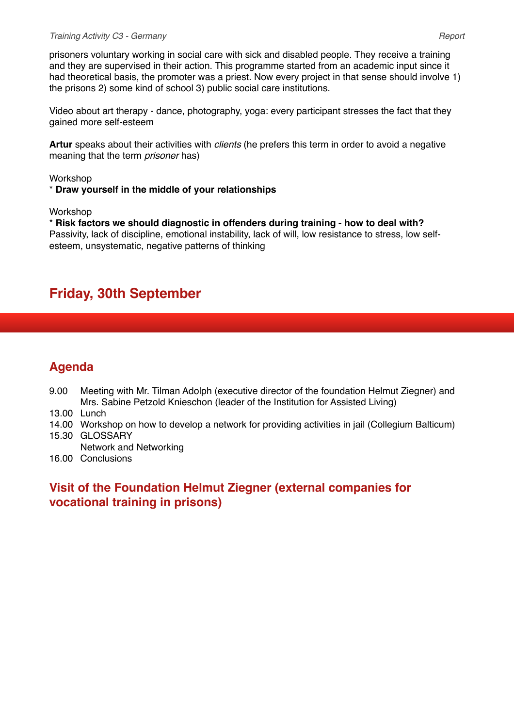#### *Training Activity C3 - Germany Report*

prisoners voluntary working in social care with sick and disabled people. They receive a training and they are supervised in their action. This programme started from an academic input since it had theoretical basis, the promoter was a priest. Now every project in that sense should involve 1) the prisons 2) some kind of school 3) public social care institutions.

Video about art therapy - dance, photography, yoga: every participant stresses the fact that they gained more self-esteem

**Artur** speaks about their activities with *clients* (he prefers this term in order to avoid a negative meaning that the term *prisoner* has)

#### Workshop

\* **Draw yourself in the middle of your relationships**

Workshop

\* **Risk factors we should diagnostic in offenders during training - how to deal with?** Passivity, lack of discipline, emotional instability, lack of will, low resistance to stress, low selfesteem, unsystematic, negative patterns of thinking

## **Friday, 30th September**

## **Agenda**

- 9.00 Meeting with Mr. Tilman Adolph (executive director of the foundation Helmut Ziegner) and Mrs. Sabine Petzold Knieschon (leader of the Institution for Assisted Living)
- 13.00 Lunch
- 14.00 Workshop on how to develop a network for providing activities in jail (Collegium Balticum) 15.30 GLOSSARY
- Network and Networking
- 16.00 Conclusions

## **Visit of the Foundation Helmut Ziegner (external companies for vocational training in prisons)**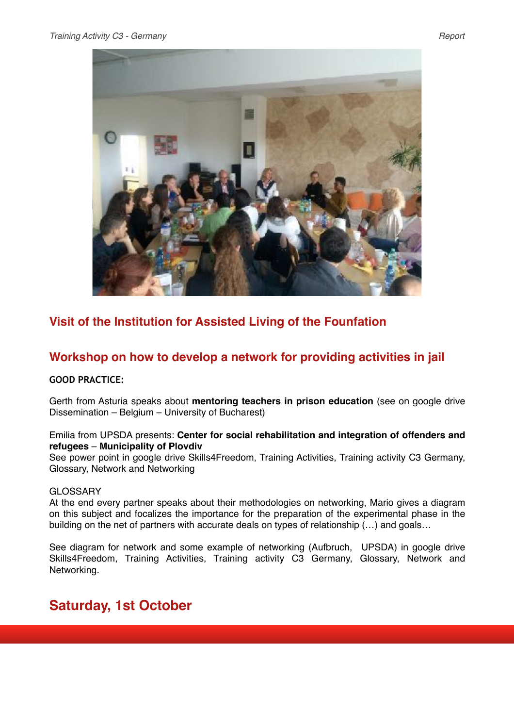

## **Visit of the Institution for Assisted Living of the Founfation**

## **Workshop on how to develop a network for providing activities in jail**

#### **GOOD PRACTICE:**

Gerth from Asturia speaks about **mentoring teachers in prison education** (see on google drive Dissemination – Belgium – University of Bucharest)

### Emilia from UPSDA presents: **Center for social rehabilitation and integration of offenders and refugees** – **Municipality of Plovdiv**

See power point in google drive Skills4Freedom, Training Activities, Training activity C3 Germany, Glossary, Network and Networking

#### **GLOSSARY**

At the end every partner speaks about their methodologies on networking, Mario gives a diagram on this subject and focalizes the importance for the preparation of the experimental phase in the building on the net of partners with accurate deals on types of relationship (…) and goals…

See diagram for network and some example of networking (Aufbruch, UPSDA) in google drive Skills4Freedom, Training Activities, Training activity C3 Germany, Glossary, Network and Networking.

# **Saturday, 1st October**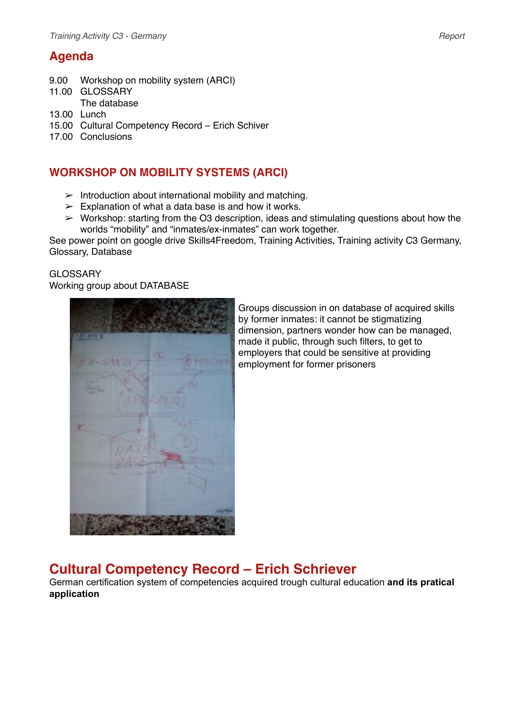## **Agenda**

- 9.00 Workshop on mobility system (ARCI)
- 11.00 GLOSSARY
- The database
- 13.00 Lunch
- 15.00 Cultural Competency Record Erich Schiver
- 17.00 Conclusions

## **WORKSHOP ON MOBILITY SYSTEMS (ARCI)**

- $\geq$  Introduction about international mobility and matching.
- $\geq$  Explanation of what a data base is and how it works.
- $\triangleright$  Workshop: starting from the O3 description, ideas and stimulating questions about how the worlds "mobility" and "inmates/ex-inmates" can work together.

See power point on google drive Skills4Freedom, Training Activities, Training activity C3 Germany, Glossary, Database

### **GLOSSARY**

#### Working group about DATABASE



Groups discussion in on database of acquired skills by former inmates: it cannot be stigmatizing dimension, partners wonder how can be managed, made it public, through such filters, to get to employers that could be sensitive at providing employment for former prisoners

# **Cultural Competency Record – Erich Schriever**

German certification system of competencies acquired trough cultural education **and its pratical application**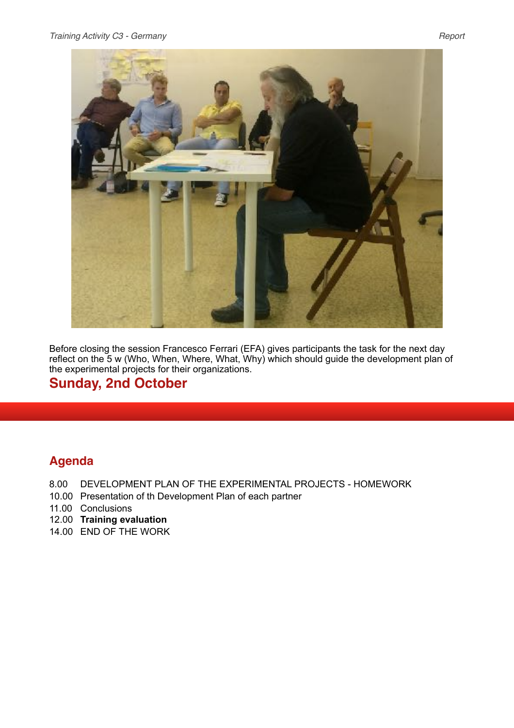

Before closing the session Francesco Ferrari (EFA) gives participants the task for the next day reflect on the 5 w (Who, When, Where, What, Why) which should guide the development plan of the experimental projects for their organizations.

## **Sunday, 2nd October**

## **Agenda**

- 8.00 DEVELOPMENT PLAN OF THE EXPERIMENTAL PROJECTS HOMEWORK
- 10.00 Presentation of th Development Plan of each partner
- 11.00 Conclusions
- 12.00 **Training evaluation**
- 14.00 END OF THE WORK